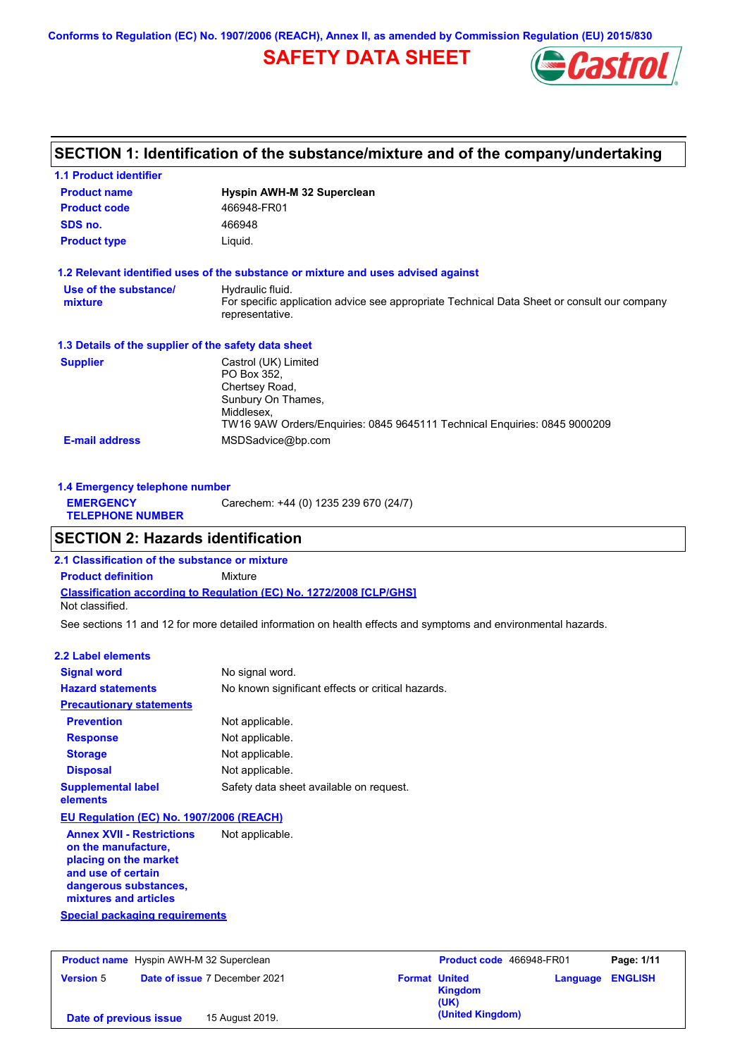**Conforms to Regulation (EC) No. 1907/2006 (REACH), Annex II, as amended by Commission Regulation (EU) 2015/830**

# **SAFETY DATA SHEET**



## **SECTION 1: Identification of the substance/mixture and of the company/undertaking**

| <b>1.1 Product identifier</b>                        |                                                                                                                |
|------------------------------------------------------|----------------------------------------------------------------------------------------------------------------|
| <b>Product name</b>                                  | Hyspin AWH-M 32 Superclean                                                                                     |
| <b>Product code</b>                                  | 466948-FR01                                                                                                    |
| SDS no.                                              | 466948                                                                                                         |
| <b>Product type</b>                                  | Liquid.                                                                                                        |
|                                                      | 1.2 Relevant identified uses of the substance or mixture and uses advised against                              |
| Use of the substance/                                | Hydraulic fluid.                                                                                               |
| mixture                                              | For specific application advice see appropriate Technical Data Sheet or consult our company<br>representative. |
| 1.3 Details of the supplier of the safety data sheet |                                                                                                                |
| <b>Supplier</b>                                      | Castrol (UK) Limited                                                                                           |
|                                                      | PO Box 352.                                                                                                    |
|                                                      | Chertsey Road,                                                                                                 |
|                                                      | Sunbury On Thames,<br>Middlesex.                                                                               |
|                                                      | TW16 9AW Orders/Enquiries: 0845 9645111 Technical Enquiries: 0845 9000209                                      |
| <b>E-mail address</b>                                | MSDSadvice@bp.com                                                                                              |

| 1.4 Emergency telephone number              |                                       |
|---------------------------------------------|---------------------------------------|
| <b>EMERGENCY</b><br><b>TELEPHONE NUMBER</b> | Carechem: +44 (0) 1235 239 670 (24/7) |

## **SECTION 2: Hazards identification**

**Classification according to Regulation (EC) No. 1272/2008 [CLP/GHS] 2.1 Classification of the substance or mixture Product definition** Mixture Not classified.

See sections 11 and 12 for more detailed information on health effects and symptoms and environmental hazards.

### **2.2 Label elements**

| <b>Signal word</b>                                                                                                                                                                                | No signal word.                                   |
|---------------------------------------------------------------------------------------------------------------------------------------------------------------------------------------------------|---------------------------------------------------|
| <b>Hazard statements</b>                                                                                                                                                                          | No known significant effects or critical hazards. |
| <b>Precautionary statements</b>                                                                                                                                                                   |                                                   |
| <b>Prevention</b>                                                                                                                                                                                 | Not applicable.                                   |
| <b>Response</b>                                                                                                                                                                                   | Not applicable.                                   |
| <b>Storage</b>                                                                                                                                                                                    | Not applicable.                                   |
| <b>Disposal</b>                                                                                                                                                                                   | Not applicable.                                   |
| <b>Supplemental label</b><br>elements                                                                                                                                                             | Safety data sheet available on request.           |
| EU Regulation (EC) No. 1907/2006 (REACH)                                                                                                                                                          |                                                   |
| <b>Annex XVII - Restrictions</b><br>on the manufacture,<br>placing on the market<br>and use of certain<br>dangerous substances,<br>mixtures and articles<br><b>Special packaging requirements</b> | Not applicable.                                   |
|                                                                                                                                                                                                   |                                                   |

|                        | <b>Product name</b> Hyspin AWH-M 32 Superclean |                      | Product code 466948-FR01 |                         | Page: 1/11 |
|------------------------|------------------------------------------------|----------------------|--------------------------|-------------------------|------------|
| <b>Version 5</b>       | <b>Date of issue 7 December 2021</b>           | <b>Format United</b> | Kingdom<br>(UK)          | <b>Language ENGLISH</b> |            |
| Date of previous issue | 15 August 2019.                                |                      | (United Kingdom)         |                         |            |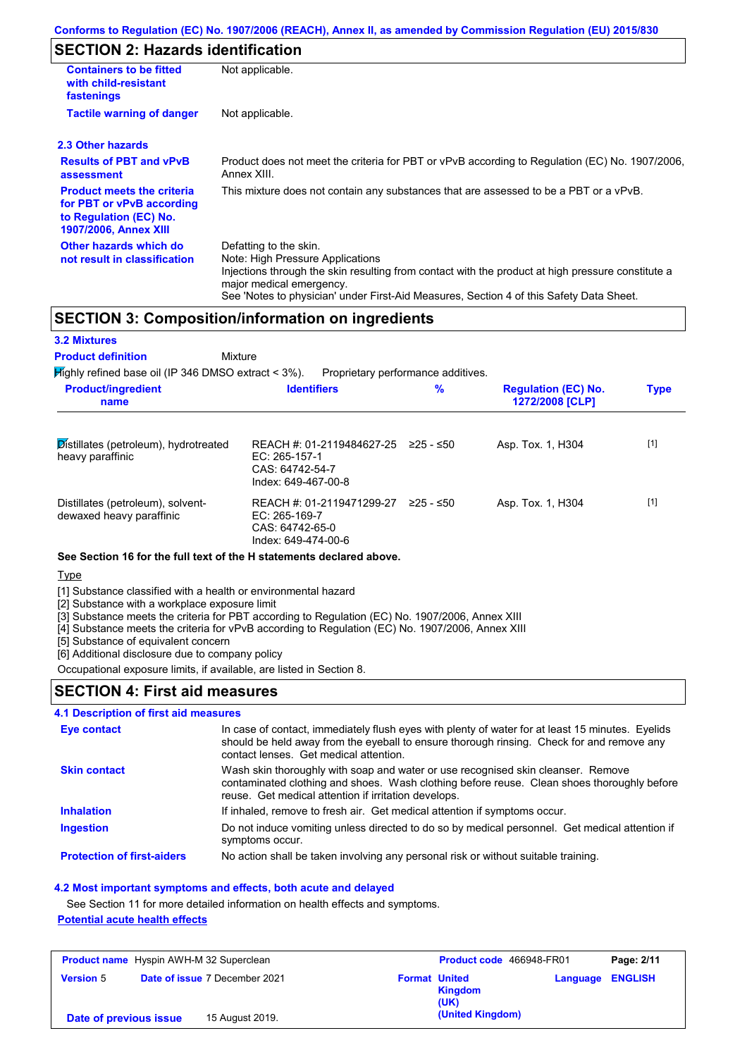# **SECTION 2: Hazards identification**

| <b>Containers to be fitted</b><br>with child-resistant<br>fastenings                                                     | Not applicable.                                                                                                                                                                                                                                                                        |
|--------------------------------------------------------------------------------------------------------------------------|----------------------------------------------------------------------------------------------------------------------------------------------------------------------------------------------------------------------------------------------------------------------------------------|
| <b>Tactile warning of danger</b>                                                                                         | Not applicable.                                                                                                                                                                                                                                                                        |
| 2.3 Other hazards                                                                                                        |                                                                                                                                                                                                                                                                                        |
| <b>Results of PBT and vPvB</b><br>assessment                                                                             | Product does not meet the criteria for PBT or vPvB according to Regulation (EC) No. 1907/2006,<br>Annex XIII.                                                                                                                                                                          |
| <b>Product meets the criteria</b><br>for PBT or vPvB according<br>to Regulation (EC) No.<br><b>1907/2006, Annex XIII</b> | This mixture does not contain any substances that are assessed to be a PBT or a vPvB.                                                                                                                                                                                                  |
| Other hazards which do<br>not result in classification                                                                   | Defatting to the skin.<br>Note: High Pressure Applications<br>Injections through the skin resulting from contact with the product at high pressure constitute a<br>major medical emergency.<br>See 'Notes to physician' under First-Aid Measures, Section 4 of this Safety Data Sheet. |

### **SECTION 3: Composition/information on ingredients**

| <b>3.2 Mixtures</b>                                                    |                                                                                        |             |                                               |             |
|------------------------------------------------------------------------|----------------------------------------------------------------------------------------|-------------|-----------------------------------------------|-------------|
| <b>Product definition</b><br>Mixture                                   |                                                                                        |             |                                               |             |
| $\cancel{\text{High}}$ ly refined base oil (IP 346 DMSO extract < 3%). | Proprietary performance additives.                                                     |             |                                               |             |
| <b>Product/ingredient</b><br>name                                      | <b>Identifiers</b>                                                                     | $\%$        | <b>Regulation (EC) No.</b><br>1272/2008 [CLP] | <b>Type</b> |
| Distillates (petroleum), hydrotreated<br>heavy paraffinic              | REACH #: 01-2119484627-25<br>EC: $265-157-1$<br>CAS: 64742-54-7<br>Index: 649-467-00-8 | 225 - ≤50   | Asp. Tox. 1, H304                             | $[1]$       |
| Distillates (petroleum), solvent-<br>dewaxed heavy paraffinic          | REACH #: 01-2119471299-27<br>EC: 265-169-7<br>CAS: 64742-65-0<br>Index: 649-474-00-6   | $≥25 - ≤50$ | Asp. Tox. 1, H304                             | $[1]$       |

#### **See Section 16 for the full text of the H statements declared above.**

**Type** 

[1] Substance classified with a health or environmental hazard

[2] Substance with a workplace exposure limit

[3] Substance meets the criteria for PBT according to Regulation (EC) No. 1907/2006, Annex XIII

[4] Substance meets the criteria for vPvB according to Regulation (EC) No. 1907/2006, Annex XIII

[5] Substance of equivalent concern

[6] Additional disclosure due to company policy

Occupational exposure limits, if available, are listed in Section 8.

### **SECTION 4: First aid measures**

#### **4.1 Description of first aid measures**

| Eye contact                       | In case of contact, immediately flush eyes with plenty of water for at least 15 minutes. Eyelids<br>should be held away from the eyeball to ensure thorough rinsing. Check for and remove any<br>contact lenses. Get medical attention. |
|-----------------------------------|-----------------------------------------------------------------------------------------------------------------------------------------------------------------------------------------------------------------------------------------|
| <b>Skin contact</b>               | Wash skin thoroughly with soap and water or use recognised skin cleanser. Remove<br>contaminated clothing and shoes. Wash clothing before reuse. Clean shoes thoroughly before<br>reuse. Get medical attention if irritation develops.  |
| <b>Inhalation</b>                 | If inhaled, remove to fresh air. Get medical attention if symptoms occur.                                                                                                                                                               |
| <b>Ingestion</b>                  | Do not induce vomiting unless directed to do so by medical personnel. Get medical attention if<br>symptoms occur.                                                                                                                       |
| <b>Protection of first-aiders</b> | No action shall be taken involving any personal risk or without suitable training.                                                                                                                                                      |

#### **4.2 Most important symptoms and effects, both acute and delayed**

See Section 11 for more detailed information on health effects and symptoms. **Potential acute health effects**

| <b>Product name</b> Hyspin AWH-M 32 Superclean |                                      |                      | <b>Product code</b> 466948-FR01 |                         | Page: 2/11 |
|------------------------------------------------|--------------------------------------|----------------------|---------------------------------|-------------------------|------------|
| <b>Version 5</b>                               | <b>Date of issue 7 December 2021</b> | <b>Format United</b> | <b>Kingdom</b><br>(UK)          | <b>Language ENGLISH</b> |            |
| Date of previous issue                         | 15 August 2019.                      |                      | (United Kingdom)                |                         |            |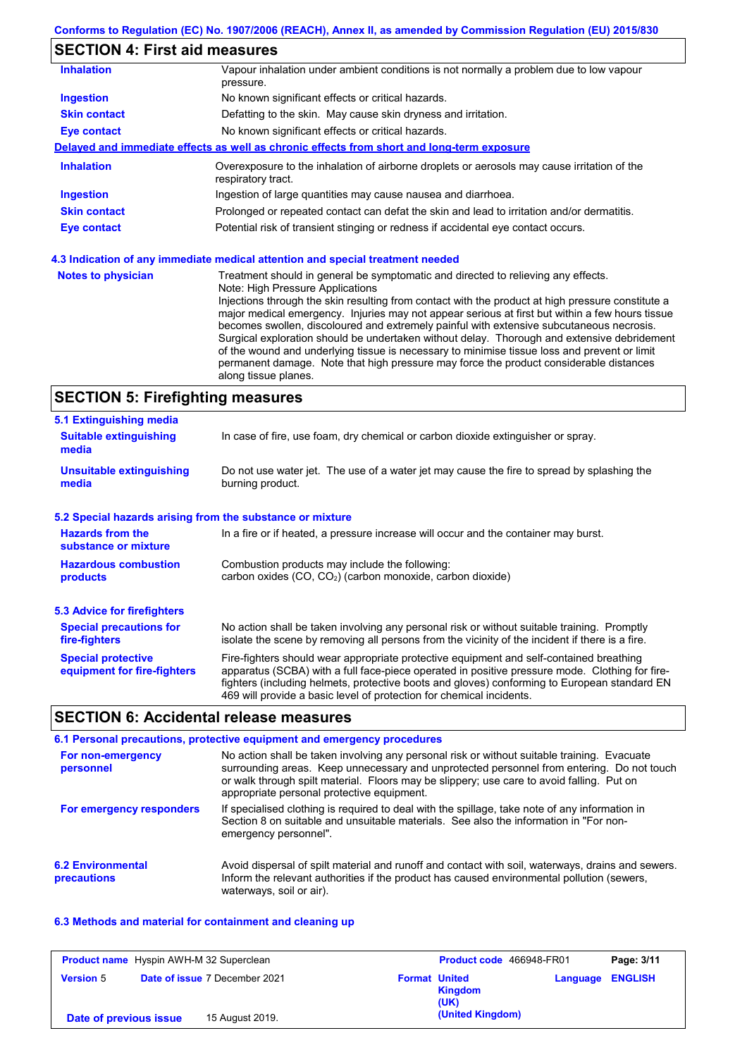# **SECTION 4: First aid measures**

| <b>Inhalation</b>         | Vapour inhalation under ambient conditions is not normally a problem due to low vapour<br>pressure.               |
|---------------------------|-------------------------------------------------------------------------------------------------------------------|
| <b>Ingestion</b>          | No known significant effects or critical hazards.                                                                 |
| <b>Skin contact</b>       | Defatting to the skin. May cause skin dryness and irritation.                                                     |
| Eye contact               | No known significant effects or critical hazards.                                                                 |
|                           | Delayed and immediate effects as well as chronic effects from short and long-term exposure                        |
| <b>Inhalation</b>         | Overexposure to the inhalation of airborne droplets or aerosols may cause irritation of the<br>respiratory tract. |
| <b>Ingestion</b>          | Ingestion of large quantities may cause nausea and diarrhoea.                                                     |
| <b>Skin contact</b>       | Prolonged or repeated contact can defat the skin and lead to irritation and/or dermatitis.                        |
| <b>Eye contact</b>        | Potential risk of transient stinging or redness if accidental eye contact occurs.                                 |
|                           | 4.3 Indication of any immediate medical attention and special treatment needed                                    |
| <b>Notes to physician</b> | Treatment should in general be symptomatic and directed to relieving any effects.                                 |

| Note: High Pressure Applications                                                                  |
|---------------------------------------------------------------------------------------------------|
| Injections through the skin resulting from contact with the product at high pressure constitute a |
| major medical emergency. Injuries may not appear serious at first but within a few hours tissue   |
| becomes swollen, discoloured and extremely painful with extensive subcutaneous necrosis.          |
| Surgical exploration should be undertaken without delay. Thorough and extensive debridement       |
| of the wound and underlying tissue is necessary to minimise tissue loss and prevent or limit      |
| permanent damage. Note that high pressure may force the product considerable distances            |
| along tissue planes.                                                                              |

# **SECTION 5: Firefighting measures**

| 5.1 Extinguishing media                                   |                                                                                                                                                                                                                                                                                                                                                                   |
|-----------------------------------------------------------|-------------------------------------------------------------------------------------------------------------------------------------------------------------------------------------------------------------------------------------------------------------------------------------------------------------------------------------------------------------------|
| <b>Suitable extinguishing</b><br>media                    | In case of fire, use foam, dry chemical or carbon dioxide extinguisher or spray.                                                                                                                                                                                                                                                                                  |
| <b>Unsuitable extinguishing</b><br>media                  | Do not use water jet. The use of a water jet may cause the fire to spread by splashing the<br>burning product.                                                                                                                                                                                                                                                    |
| 5.2 Special hazards arising from the substance or mixture |                                                                                                                                                                                                                                                                                                                                                                   |
| <b>Hazards from the</b><br>substance or mixture           | In a fire or if heated, a pressure increase will occur and the container may burst.                                                                                                                                                                                                                                                                               |
| <b>Hazardous combustion</b>                               | Combustion products may include the following:                                                                                                                                                                                                                                                                                                                    |
| <b>products</b>                                           | carbon oxides (CO, CO <sub>2</sub> ) (carbon monoxide, carbon dioxide)                                                                                                                                                                                                                                                                                            |
| 5.3 Advice for firefighters                               |                                                                                                                                                                                                                                                                                                                                                                   |
| <b>Special precautions for</b><br>fire-fighters           | No action shall be taken involving any personal risk or without suitable training. Promptly<br>isolate the scene by removing all persons from the vicinity of the incident if there is a fire.                                                                                                                                                                    |
| <b>Special protective</b><br>equipment for fire-fighters  | Fire-fighters should wear appropriate protective equipment and self-contained breathing<br>apparatus (SCBA) with a full face-piece operated in positive pressure mode. Clothing for fire-<br>fighters (including helmets, protective boots and gloves) conforming to European standard EN<br>469 will provide a basic level of protection for chemical incidents. |

## **SECTION 6: Accidental release measures**

|                                         | 6.1 Personal precautions, protective equipment and emergency procedures                                                                                                                                                                                                                                                             |
|-----------------------------------------|-------------------------------------------------------------------------------------------------------------------------------------------------------------------------------------------------------------------------------------------------------------------------------------------------------------------------------------|
| For non-emergency<br>personnel          | No action shall be taken involving any personal risk or without suitable training. Evacuate<br>surrounding areas. Keep unnecessary and unprotected personnel from entering. Do not touch<br>or walk through spilt material. Floors may be slippery; use care to avoid falling. Put on<br>appropriate personal protective equipment. |
| For emergency responders                | If specialised clothing is required to deal with the spillage, take note of any information in<br>Section 8 on suitable and unsuitable materials. See also the information in "For non-<br>emergency personnel".                                                                                                                    |
| <b>6.2 Environmental</b><br>precautions | Avoid dispersal of spilt material and runoff and contact with soil, waterways, drains and sewers.<br>Inform the relevant authorities if the product has caused environmental pollution (sewers,<br>waterways, soil or air).                                                                                                         |

### **6.3 Methods and material for containment and cleaning up**

| <b>Product name</b> Hyspin AWH-M 32 Superclean |  |                                      | Product code 466948-FR01 | Page: 3/11                                     |          |                |
|------------------------------------------------|--|--------------------------------------|--------------------------|------------------------------------------------|----------|----------------|
| <b>Version 5</b>                               |  | <b>Date of issue 7 December 2021</b> |                          | <b>Format United</b><br><b>Kingdom</b><br>(UK) | Language | <b>ENGLISH</b> |
| Date of previous issue                         |  | 15 August 2019.                      |                          | (United Kingdom)                               |          |                |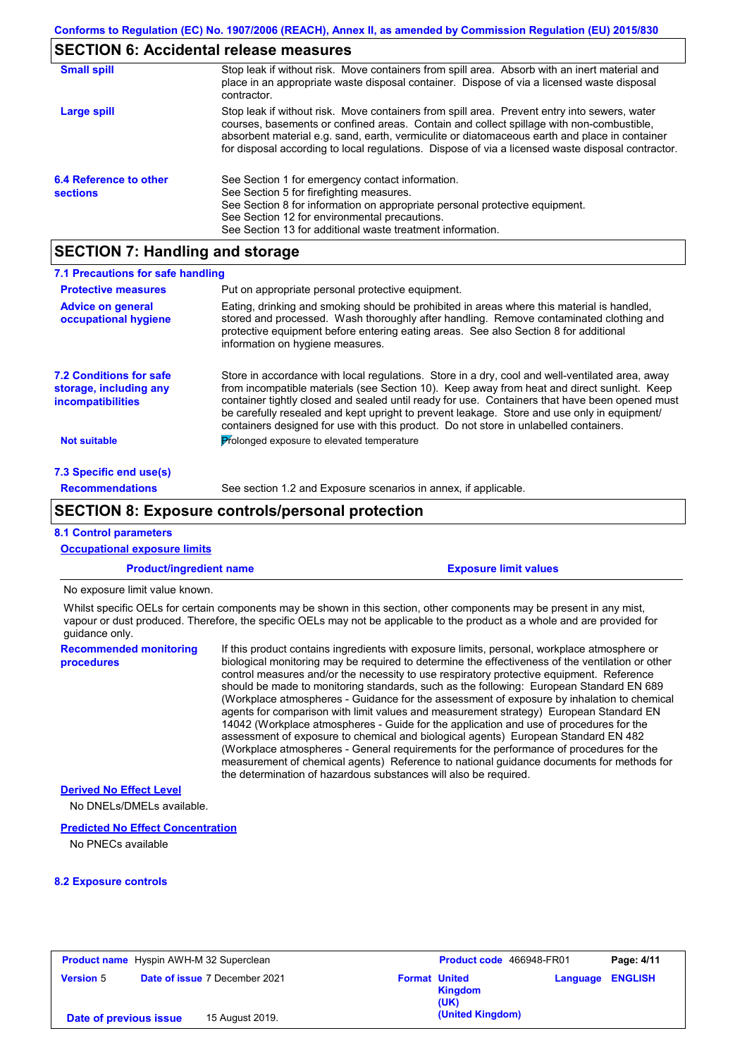# **SECTION 6: Accidental release measures**

| <b>Small spill</b>                        | Stop leak if without risk. Move containers from spill area. Absorb with an inert material and<br>place in an appropriate waste disposal container. Dispose of via a licensed waste disposal<br>contractor.                                                                                                                                                                                     |
|-------------------------------------------|------------------------------------------------------------------------------------------------------------------------------------------------------------------------------------------------------------------------------------------------------------------------------------------------------------------------------------------------------------------------------------------------|
| Large spill                               | Stop leak if without risk. Move containers from spill area. Prevent entry into sewers, water<br>courses, basements or confined areas. Contain and collect spillage with non-combustible,<br>absorbent material e.g. sand, earth, vermiculite or diatomaceous earth and place in container<br>for disposal according to local regulations. Dispose of via a licensed waste disposal contractor. |
| 6.4 Reference to other<br><b>sections</b> | See Section 1 for emergency contact information.<br>See Section 5 for firefighting measures.<br>See Section 8 for information on appropriate personal protective equipment.<br>See Section 12 for environmental precautions.<br>See Section 13 for additional waste treatment information.                                                                                                     |

# **SECTION 7: Handling and storage**

| 7.1 Precautions for safe handling                                             |                                                                                                                                                                                                                                                                                                                                                                                                                                                                                          |
|-------------------------------------------------------------------------------|------------------------------------------------------------------------------------------------------------------------------------------------------------------------------------------------------------------------------------------------------------------------------------------------------------------------------------------------------------------------------------------------------------------------------------------------------------------------------------------|
| <b>Protective measures</b>                                                    | Put on appropriate personal protective equipment.                                                                                                                                                                                                                                                                                                                                                                                                                                        |
| <b>Advice on general</b><br>occupational hygiene                              | Eating, drinking and smoking should be prohibited in areas where this material is handled,<br>stored and processed. Wash thoroughly after handling. Remove contaminated clothing and<br>protective equipment before entering eating areas. See also Section 8 for additional<br>information on hygiene measures.                                                                                                                                                                         |
| <b>7.2 Conditions for safe</b><br>storage, including any<br>incompatibilities | Store in accordance with local regulations. Store in a dry, cool and well-ventilated area, away<br>from incompatible materials (see Section 10). Keep away from heat and direct sunlight. Keep<br>container tightly closed and sealed until ready for use. Containers that have been opened must<br>be carefully resealed and kept upright to prevent leakage. Store and use only in equipment/<br>containers designed for use with this product. Do not store in unlabelled containers. |
| <b>Not suitable</b>                                                           | Prolonged exposure to elevated temperature                                                                                                                                                                                                                                                                                                                                                                                                                                               |
| 7.3 Specific end use(s)                                                       |                                                                                                                                                                                                                                                                                                                                                                                                                                                                                          |
| <b>Recommendations</b>                                                        | See section 1.2 and Exposure scenarios in annex, if applicable.                                                                                                                                                                                                                                                                                                                                                                                                                          |
|                                                                               |                                                                                                                                                                                                                                                                                                                                                                                                                                                                                          |

### **SECTION 8: Exposure controls/personal protection**

### **8.1 Control parameters**

| <b>Occupational exposure limits</b>                                                                                                                                                                                                                                    |  |                                                                                                                                                                                                                                                                                                                                                                                                                                                                                                                                                                                                                                                                                                                                                                                                                                                                                                                                                                                                                            |  |  |
|------------------------------------------------------------------------------------------------------------------------------------------------------------------------------------------------------------------------------------------------------------------------|--|----------------------------------------------------------------------------------------------------------------------------------------------------------------------------------------------------------------------------------------------------------------------------------------------------------------------------------------------------------------------------------------------------------------------------------------------------------------------------------------------------------------------------------------------------------------------------------------------------------------------------------------------------------------------------------------------------------------------------------------------------------------------------------------------------------------------------------------------------------------------------------------------------------------------------------------------------------------------------------------------------------------------------|--|--|
| <b>Product/ingredient name</b>                                                                                                                                                                                                                                         |  | <b>Exposure limit values</b>                                                                                                                                                                                                                                                                                                                                                                                                                                                                                                                                                                                                                                                                                                                                                                                                                                                                                                                                                                                               |  |  |
| No exposure limit value known.                                                                                                                                                                                                                                         |  |                                                                                                                                                                                                                                                                                                                                                                                                                                                                                                                                                                                                                                                                                                                                                                                                                                                                                                                                                                                                                            |  |  |
| Whilst specific OELs for certain components may be shown in this section, other components may be present in any mist,<br>vapour or dust produced. Therefore, the specific OELs may not be applicable to the product as a whole and are provided for<br>quidance only. |  |                                                                                                                                                                                                                                                                                                                                                                                                                                                                                                                                                                                                                                                                                                                                                                                                                                                                                                                                                                                                                            |  |  |
| <b>Recommended monitoring</b><br>procedures                                                                                                                                                                                                                            |  | If this product contains ingredients with exposure limits, personal, workplace atmosphere or<br>biological monitoring may be required to determine the effectiveness of the ventilation or other<br>control measures and/or the necessity to use respiratory protective equipment. Reference<br>should be made to monitoring standards, such as the following: European Standard EN 689<br>(Workplace atmospheres - Guidance for the assessment of exposure by inhalation to chemical<br>agents for comparison with limit values and measurement strategy) European Standard EN<br>14042 (Workplace atmospheres - Guide for the application and use of procedures for the<br>assessment of exposure to chemical and biological agents) European Standard EN 482<br>(Workplace atmospheres - General requirements for the performance of procedures for the<br>measurement of chemical agents) Reference to national guidance documents for methods for<br>the determination of hazardous substances will also be required. |  |  |
| <b>Derived No Effect Level</b><br>No DNELs/DMELs available.                                                                                                                                                                                                            |  |                                                                                                                                                                                                                                                                                                                                                                                                                                                                                                                                                                                                                                                                                                                                                                                                                                                                                                                                                                                                                            |  |  |

### **Predicted No Effect Concentration**

No PNECs available

### **8.2 Exposure controls**

| <b>Product name</b> Hyspin AWH-M 32 Superclean |  |                               | <b>Product code</b> 466948-FR01 | Page: 4/11             |                         |  |
|------------------------------------------------|--|-------------------------------|---------------------------------|------------------------|-------------------------|--|
| <b>Version 5</b>                               |  | Date of issue 7 December 2021 | <b>Format United</b>            | <b>Kingdom</b><br>(UK) | <b>Language ENGLISH</b> |  |
| Date of previous issue                         |  | 15 August 2019.               |                                 | (United Kingdom)       |                         |  |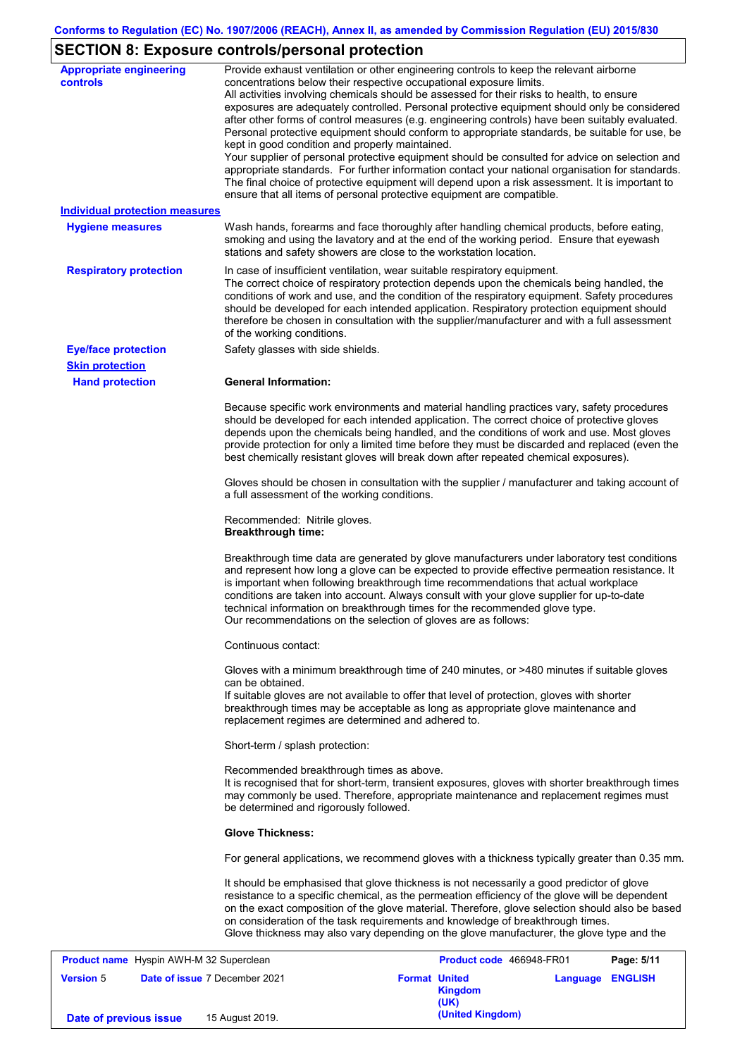# **SECTION 8: Exposure controls/personal protection**

| <b>Appropriate engineering</b><br>controls     | Provide exhaust ventilation or other engineering controls to keep the relevant airborne<br>concentrations below their respective occupational exposure limits.<br>All activities involving chemicals should be assessed for their risks to health, to ensure<br>exposures are adequately controlled. Personal protective equipment should only be considered<br>after other forms of control measures (e.g. engineering controls) have been suitably evaluated.<br>Personal protective equipment should conform to appropriate standards, be suitable for use, be<br>kept in good condition and properly maintained.<br>Your supplier of personal protective equipment should be consulted for advice on selection and<br>appropriate standards. For further information contact your national organisation for standards.<br>The final choice of protective equipment will depend upon a risk assessment. It is important to<br>ensure that all items of personal protective equipment are compatible. |                          |            |
|------------------------------------------------|---------------------------------------------------------------------------------------------------------------------------------------------------------------------------------------------------------------------------------------------------------------------------------------------------------------------------------------------------------------------------------------------------------------------------------------------------------------------------------------------------------------------------------------------------------------------------------------------------------------------------------------------------------------------------------------------------------------------------------------------------------------------------------------------------------------------------------------------------------------------------------------------------------------------------------------------------------------------------------------------------------|--------------------------|------------|
| <b>Individual protection measures</b>          |                                                                                                                                                                                                                                                                                                                                                                                                                                                                                                                                                                                                                                                                                                                                                                                                                                                                                                                                                                                                         |                          |            |
| <b>Hygiene measures</b>                        | Wash hands, forearms and face thoroughly after handling chemical products, before eating,<br>smoking and using the lavatory and at the end of the working period. Ensure that eyewash<br>stations and safety showers are close to the workstation location.                                                                                                                                                                                                                                                                                                                                                                                                                                                                                                                                                                                                                                                                                                                                             |                          |            |
| <b>Respiratory protection</b>                  | In case of insufficient ventilation, wear suitable respiratory equipment.<br>The correct choice of respiratory protection depends upon the chemicals being handled, the<br>conditions of work and use, and the condition of the respiratory equipment. Safety procedures<br>should be developed for each intended application. Respiratory protection equipment should<br>therefore be chosen in consultation with the supplier/manufacturer and with a full assessment<br>of the working conditions.                                                                                                                                                                                                                                                                                                                                                                                                                                                                                                   |                          |            |
| <b>Eye/face protection</b>                     | Safety glasses with side shields.                                                                                                                                                                                                                                                                                                                                                                                                                                                                                                                                                                                                                                                                                                                                                                                                                                                                                                                                                                       |                          |            |
| <b>Skin protection</b>                         |                                                                                                                                                                                                                                                                                                                                                                                                                                                                                                                                                                                                                                                                                                                                                                                                                                                                                                                                                                                                         |                          |            |
| <b>Hand protection</b>                         | <b>General Information:</b>                                                                                                                                                                                                                                                                                                                                                                                                                                                                                                                                                                                                                                                                                                                                                                                                                                                                                                                                                                             |                          |            |
|                                                | Because specific work environments and material handling practices vary, safety procedures<br>should be developed for each intended application. The correct choice of protective gloves<br>depends upon the chemicals being handled, and the conditions of work and use. Most gloves<br>provide protection for only a limited time before they must be discarded and replaced (even the<br>best chemically resistant gloves will break down after repeated chemical exposures).                                                                                                                                                                                                                                                                                                                                                                                                                                                                                                                        |                          |            |
|                                                | Gloves should be chosen in consultation with the supplier / manufacturer and taking account of<br>a full assessment of the working conditions.                                                                                                                                                                                                                                                                                                                                                                                                                                                                                                                                                                                                                                                                                                                                                                                                                                                          |                          |            |
|                                                | Recommended: Nitrile gloves.<br><b>Breakthrough time:</b>                                                                                                                                                                                                                                                                                                                                                                                                                                                                                                                                                                                                                                                                                                                                                                                                                                                                                                                                               |                          |            |
|                                                | Breakthrough time data are generated by glove manufacturers under laboratory test conditions<br>and represent how long a glove can be expected to provide effective permeation resistance. It<br>is important when following breakthrough time recommendations that actual workplace<br>conditions are taken into account. Always consult with your glove supplier for up-to-date<br>technical information on breakthrough times for the recommended glove type.<br>Our recommendations on the selection of gloves are as follows:                                                                                                                                                                                                                                                                                                                                                                                                                                                                      |                          |            |
|                                                | Continuous contact:                                                                                                                                                                                                                                                                                                                                                                                                                                                                                                                                                                                                                                                                                                                                                                                                                                                                                                                                                                                     |                          |            |
|                                                | Gloves with a minimum breakthrough time of 240 minutes, or >480 minutes if suitable gloves<br>can be obtained.                                                                                                                                                                                                                                                                                                                                                                                                                                                                                                                                                                                                                                                                                                                                                                                                                                                                                          |                          |            |
|                                                | If suitable gloves are not available to offer that level of protection, gloves with shorter<br>breakthrough times may be acceptable as long as appropriate glove maintenance and<br>replacement regimes are determined and adhered to.                                                                                                                                                                                                                                                                                                                                                                                                                                                                                                                                                                                                                                                                                                                                                                  |                          |            |
|                                                | Short-term / splash protection:                                                                                                                                                                                                                                                                                                                                                                                                                                                                                                                                                                                                                                                                                                                                                                                                                                                                                                                                                                         |                          |            |
|                                                | Recommended breakthrough times as above.<br>It is recognised that for short-term, transient exposures, gloves with shorter breakthrough times<br>may commonly be used. Therefore, appropriate maintenance and replacement regimes must<br>be determined and rigorously followed.                                                                                                                                                                                                                                                                                                                                                                                                                                                                                                                                                                                                                                                                                                                        |                          |            |
|                                                | <b>Glove Thickness:</b>                                                                                                                                                                                                                                                                                                                                                                                                                                                                                                                                                                                                                                                                                                                                                                                                                                                                                                                                                                                 |                          |            |
|                                                | For general applications, we recommend gloves with a thickness typically greater than 0.35 mm.                                                                                                                                                                                                                                                                                                                                                                                                                                                                                                                                                                                                                                                                                                                                                                                                                                                                                                          |                          |            |
|                                                | It should be emphasised that glove thickness is not necessarily a good predictor of glove<br>resistance to a specific chemical, as the permeation efficiency of the glove will be dependent<br>on the exact composition of the glove material. Therefore, glove selection should also be based<br>on consideration of the task requirements and knowledge of breakthrough times.<br>Glove thickness may also vary depending on the glove manufacturer, the glove type and the                                                                                                                                                                                                                                                                                                                                                                                                                                                                                                                           |                          |            |
| <b>Product name</b> Hyspin AWH-M 32 Superclean |                                                                                                                                                                                                                                                                                                                                                                                                                                                                                                                                                                                                                                                                                                                                                                                                                                                                                                                                                                                                         | Product code 466948-FR01 | Page: 5/11 |

| <b>Product name</b> Hyspin AWH-M 32 Superclean |                                      | <b>Product code</b> 466948-FR01                |                         | Page: 5/11 |
|------------------------------------------------|--------------------------------------|------------------------------------------------|-------------------------|------------|
| <b>Version 5</b>                               | <b>Date of issue 7 December 2021</b> | <b>Format United</b><br><b>Kingdom</b><br>(UK) | <b>Language ENGLISH</b> |            |
| Date of previous issue                         | 15 August 2019.                      | (United Kingdom)                               |                         |            |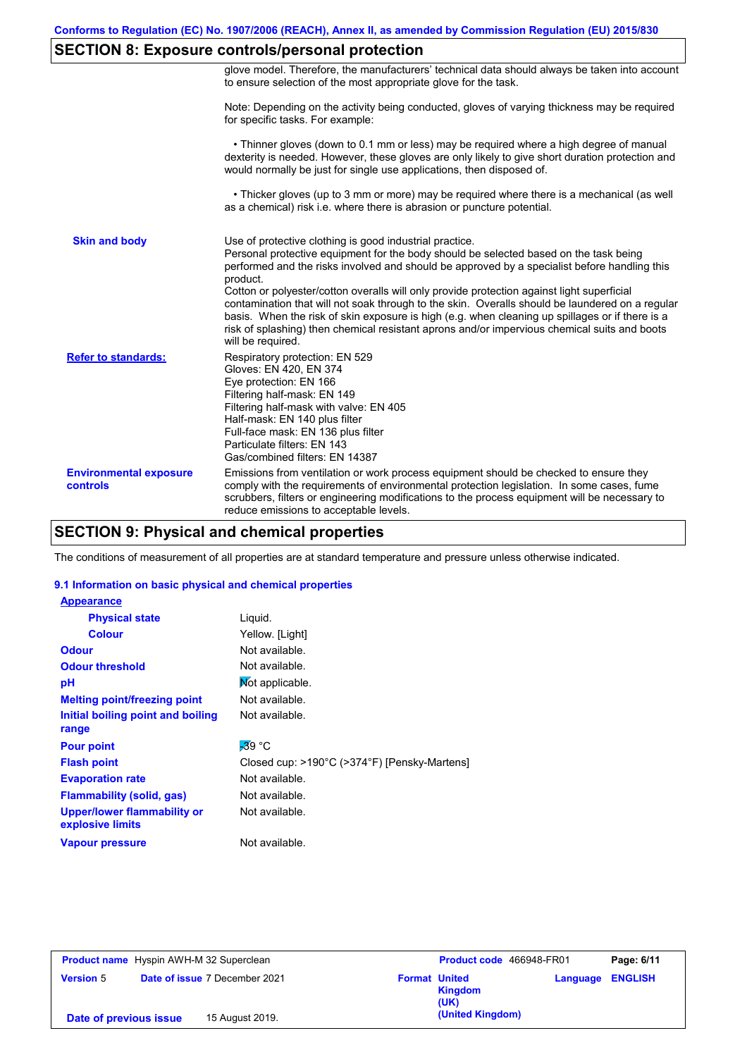# **SECTION 8: Exposure controls/personal protection**

|                                           | glove model. Therefore, the manufacturers' technical data should always be taken into account<br>to ensure selection of the most appropriate glove for the task.                                                                                                                                                                                                                                                                                                                                                                                                                                                                                                                      |
|-------------------------------------------|---------------------------------------------------------------------------------------------------------------------------------------------------------------------------------------------------------------------------------------------------------------------------------------------------------------------------------------------------------------------------------------------------------------------------------------------------------------------------------------------------------------------------------------------------------------------------------------------------------------------------------------------------------------------------------------|
|                                           | Note: Depending on the activity being conducted, gloves of varying thickness may be required<br>for specific tasks. For example:                                                                                                                                                                                                                                                                                                                                                                                                                                                                                                                                                      |
|                                           | • Thinner gloves (down to 0.1 mm or less) may be required where a high degree of manual<br>dexterity is needed. However, these gloves are only likely to give short duration protection and<br>would normally be just for single use applications, then disposed of.                                                                                                                                                                                                                                                                                                                                                                                                                  |
|                                           | • Thicker gloves (up to 3 mm or more) may be required where there is a mechanical (as well<br>as a chemical) risk i.e. where there is abrasion or puncture potential.                                                                                                                                                                                                                                                                                                                                                                                                                                                                                                                 |
| <b>Skin and body</b>                      | Use of protective clothing is good industrial practice.<br>Personal protective equipment for the body should be selected based on the task being<br>performed and the risks involved and should be approved by a specialist before handling this<br>product.<br>Cotton or polyester/cotton overalls will only provide protection against light superficial<br>contamination that will not soak through to the skin. Overalls should be laundered on a regular<br>basis. When the risk of skin exposure is high (e.g. when cleaning up spillages or if there is a<br>risk of splashing) then chemical resistant aprons and/or impervious chemical suits and boots<br>will be required. |
| <b>Refer to standards:</b>                | Respiratory protection: EN 529<br>Gloves: EN 420, EN 374<br>Eye protection: EN 166<br>Filtering half-mask: EN 149<br>Filtering half-mask with valve: EN 405<br>Half-mask: EN 140 plus filter<br>Full-face mask: EN 136 plus filter<br>Particulate filters: EN 143<br>Gas/combined filters: EN 14387                                                                                                                                                                                                                                                                                                                                                                                   |
| <b>Environmental exposure</b><br>controls | Emissions from ventilation or work process equipment should be checked to ensure they<br>comply with the requirements of environmental protection legislation. In some cases, fume<br>scrubbers, filters or engineering modifications to the process equipment will be necessary to<br>reduce emissions to acceptable levels.                                                                                                                                                                                                                                                                                                                                                         |

# **SECTION 9: Physical and chemical properties**

The conditions of measurement of all properties are at standard temperature and pressure unless otherwise indicated.

### **9.1 Information on basic physical and chemical properties**

| <b>Appearance</b>                               |                                              |
|-------------------------------------------------|----------------------------------------------|
| <b>Physical state</b>                           | Liquid.                                      |
| <b>Colour</b>                                   | Yellow. [Light]                              |
| <b>Odour</b>                                    | Not available.                               |
| <b>Odour threshold</b>                          | Not available.                               |
| рH                                              | Mot applicable.                              |
| <b>Melting point/freezing point</b>             | Not available.                               |
| Initial boiling point and boiling<br>range      | Not available.                               |
| <b>Pour point</b>                               | $-39$ °C                                     |
| <b>Flash point</b>                              | Closed cup: >190°C (>374°F) [Pensky-Martens] |
| <b>Evaporation rate</b>                         | Not available.                               |
| Flammability (solid, gas)                       | Not available.                               |
| Upper/lower flammability or<br>explosive limits | Not available.                               |
| <b>Vapour pressure</b>                          | Not available.                               |

| <b>Product name</b> Hyspin AWH-M 32 Superclean |                                      |                 |                      | Product code 466948-FR01 | Page: 6/11 |                         |
|------------------------------------------------|--------------------------------------|-----------------|----------------------|--------------------------|------------|-------------------------|
| <b>Version 5</b>                               | <b>Date of issue 7 December 2021</b> |                 | <b>Format United</b> | <b>Kingdom</b><br>(UK)   |            | <b>Language ENGLISH</b> |
| Date of previous issue                         |                                      | 15 August 2019. |                      | (United Kingdom)         |            |                         |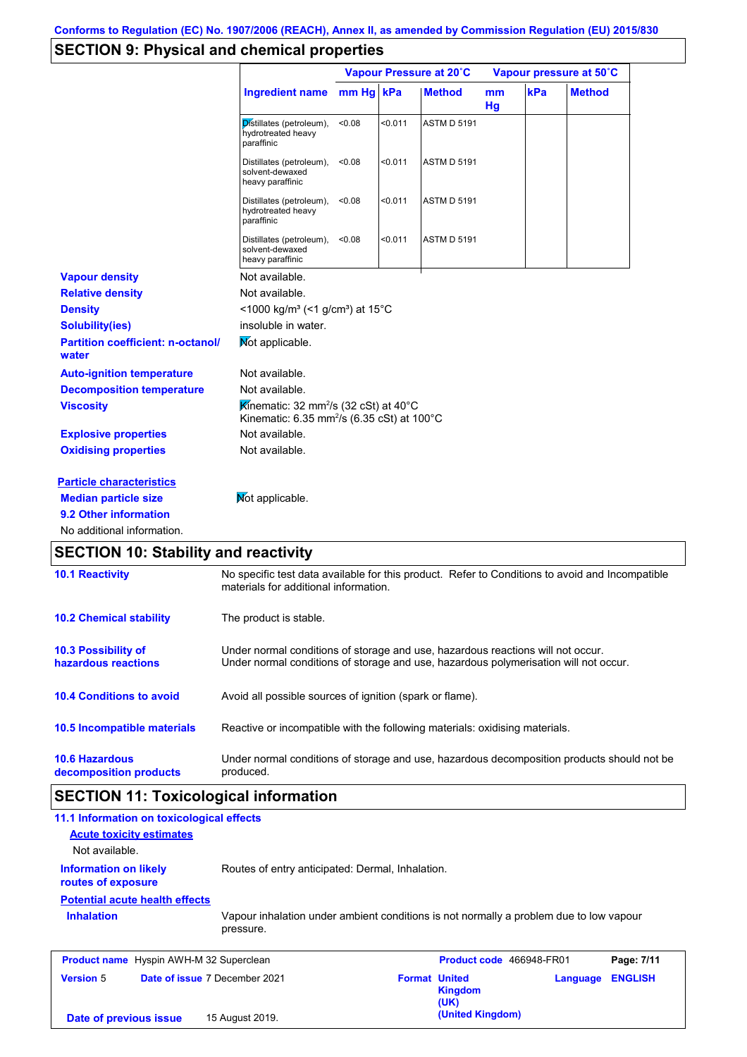# **SECTION 9: Physical and chemical properties**

|                                                   |                                                                                                                        | Vapour Pressure at 20°C |         |                    | Vapour pressure at 50°C |     |               |
|---------------------------------------------------|------------------------------------------------------------------------------------------------------------------------|-------------------------|---------|--------------------|-------------------------|-----|---------------|
|                                                   | <b>Ingredient name</b>                                                                                                 | mm Hg kPa               |         | <b>Method</b>      | <sub>mm</sub><br>Hg     | kPa | <b>Method</b> |
|                                                   | Distillates (petroleum),<br>hydrotreated heavy<br>paraffinic                                                           | < 0.08                  | < 0.011 | <b>ASTM D 5191</b> |                         |     |               |
|                                                   | Distillates (petroleum),<br>solvent-dewaxed<br>heavy paraffinic                                                        | < 0.08                  | < 0.011 | <b>ASTM D 5191</b> |                         |     |               |
|                                                   | Distillates (petroleum),<br>hydrotreated heavy<br>paraffinic                                                           | < 0.08                  | < 0.011 | <b>ASTM D 5191</b> |                         |     |               |
|                                                   | Distillates (petroleum),<br>solvent-dewaxed<br>heavy paraffinic                                                        | < 0.08                  | < 0.011 | <b>ASTM D 5191</b> |                         |     |               |
| <b>Vapour density</b>                             | Not available.                                                                                                         |                         |         |                    |                         |     |               |
| <b>Relative density</b>                           | Not available.                                                                                                         |                         |         |                    |                         |     |               |
| <b>Density</b>                                    | <1000 kg/m <sup>3</sup> (<1 g/cm <sup>3</sup> ) at 15 <sup>°</sup> C                                                   |                         |         |                    |                         |     |               |
| <b>Solubility(ies)</b>                            | insoluble in water.                                                                                                    |                         |         |                    |                         |     |               |
| <b>Partition coefficient: n-octanol/</b><br>water | Mot applicable.                                                                                                        |                         |         |                    |                         |     |               |
| <b>Auto-ignition temperature</b>                  | Not available.                                                                                                         |                         |         |                    |                         |     |               |
| <b>Decomposition temperature</b>                  | Not available.                                                                                                         |                         |         |                    |                         |     |               |
| <b>Viscosity</b>                                  | Kinematic: 32 mm <sup>2</sup> /s (32 cSt) at 40 $^{\circ}$ C<br>Kinematic: 6.35 mm <sup>2</sup> /s (6.35 cSt) at 100°C |                         |         |                    |                         |     |               |
| <b>Explosive properties</b>                       | Not available.                                                                                                         |                         |         |                    |                         |     |               |
| <b>Oxidising properties</b>                       | Not available.                                                                                                         |                         |         |                    |                         |     |               |
| <b>Particle characteristics</b>                   |                                                                                                                        |                         |         |                    |                         |     |               |
| <b>Median particle size</b>                       | Mot applicable.                                                                                                        |                         |         |                    |                         |     |               |
| 9.2 Other information                             |                                                                                                                        |                         |         |                    |                         |     |               |
| No additional information.                        |                                                                                                                        |                         |         |                    |                         |     |               |
| <b>SECTION 10: Stability and reactivity</b>       |                                                                                                                        |                         |         |                    |                         |     |               |
| <b>40.4 Donotivity</b>                            | No concitio toot data available for this product. Peter to Conditions to avaid and Incompatible                        |                         |         |                    |                         |     |               |

| <b>10.1 Reactivity</b>                            | No specific test data available for this product. Refer to Conditions to avoid and Incompatible<br>materials for additional information.                                |
|---------------------------------------------------|-------------------------------------------------------------------------------------------------------------------------------------------------------------------------|
| <b>10.2 Chemical stability</b>                    | The product is stable.                                                                                                                                                  |
| <b>10.3 Possibility of</b><br>hazardous reactions | Under normal conditions of storage and use, hazardous reactions will not occur.<br>Under normal conditions of storage and use, hazardous polymerisation will not occur. |
| <b>10.4 Conditions to avoid</b>                   | Avoid all possible sources of ignition (spark or flame).                                                                                                                |
| 10.5 Incompatible materials                       | Reactive or incompatible with the following materials: oxidising materials.                                                                                             |
| <b>10.6 Hazardous</b><br>decomposition products   | Under normal conditions of storage and use, hazardous decomposition products should not be<br>produced.                                                                 |

## **SECTION 11: Toxicological information**

| 11.1 Information on toxicological effects          |                                                                                                     |                      |                          |          |                |
|----------------------------------------------------|-----------------------------------------------------------------------------------------------------|----------------------|--------------------------|----------|----------------|
| <b>Acute toxicity estimates</b>                    |                                                                                                     |                      |                          |          |                |
| Not available.                                     |                                                                                                     |                      |                          |          |                |
| <b>Information on likely</b><br>routes of exposure | Routes of entry anticipated: Dermal, Inhalation.                                                    |                      |                          |          |                |
| <b>Potential acute health effects</b>              |                                                                                                     |                      |                          |          |                |
| <b>Inhalation</b>                                  | Vapour inhalation under ambient conditions is not normally a problem due to low vapour<br>pressure. |                      |                          |          |                |
| <b>Product name</b> Hyspin AWH-M 32 Superclean     |                                                                                                     |                      | Product code 466948-FR01 |          | Page: 7/11     |
| <b>Version 5</b><br>Date of issue 7 December 2021  |                                                                                                     | <b>Format United</b> | <b>Kingdom</b><br>(UK)   | Language | <b>ENGLISH</b> |
| Date of previous issue                             | 15 August 2019.                                                                                     |                      | (United Kingdom)         |          |                |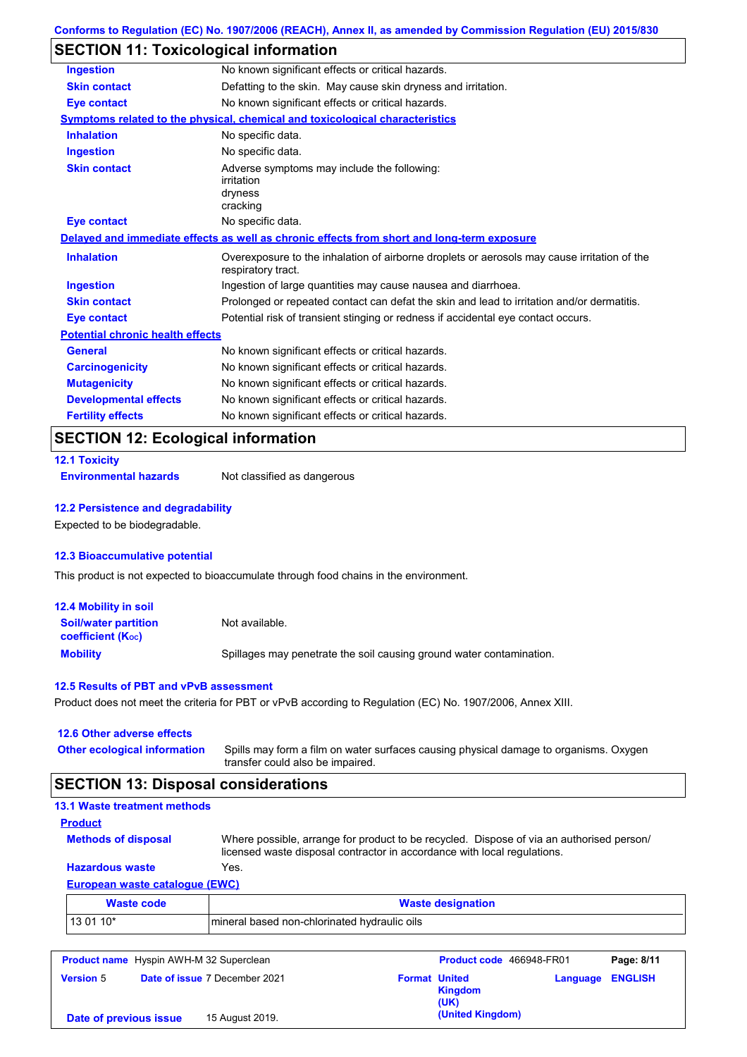## **SECTION 11: Toxicological information**

| <b>Ingestion</b>                        | No known significant effects or critical hazards.                                                                 |
|-----------------------------------------|-------------------------------------------------------------------------------------------------------------------|
| <b>Skin contact</b>                     | Defatting to the skin. May cause skin dryness and irritation.                                                     |
| <b>Eye contact</b>                      | No known significant effects or critical hazards.                                                                 |
|                                         | <b>Symptoms related to the physical, chemical and toxicological characteristics</b>                               |
| <b>Inhalation</b>                       | No specific data.                                                                                                 |
| <b>Ingestion</b>                        | No specific data.                                                                                                 |
| <b>Skin contact</b>                     | Adverse symptoms may include the following:<br>irritation<br>dryness<br>cracking                                  |
| <b>Eye contact</b>                      | No specific data.                                                                                                 |
|                                         | Delayed and immediate effects as well as chronic effects from short and long-term exposure                        |
| <b>Inhalation</b>                       | Overexposure to the inhalation of airborne droplets or aerosols may cause irritation of the<br>respiratory tract. |
| <b>Ingestion</b>                        | Ingestion of large quantities may cause nausea and diarrhoea.                                                     |
| <b>Skin contact</b>                     | Prolonged or repeated contact can defat the skin and lead to irritation and/or dermatitis.                        |
| <b>Eye contact</b>                      | Potential risk of transient stinging or redness if accidental eye contact occurs.                                 |
| <b>Potential chronic health effects</b> |                                                                                                                   |
| <b>General</b>                          | No known significant effects or critical hazards.                                                                 |
| <b>Carcinogenicity</b>                  | No known significant effects or critical hazards.                                                                 |
| <b>Mutagenicity</b>                     | No known significant effects or critical hazards.                                                                 |
| <b>Developmental effects</b>            | No known significant effects or critical hazards.                                                                 |
| <b>Fertility effects</b>                | No known significant effects or critical hazards.                                                                 |
|                                         |                                                                                                                   |

## **SECTION 12: Ecological information**

| <b>12.1 Toxicity</b>         |                             |
|------------------------------|-----------------------------|
| <b>Environmental hazards</b> | Not classified as dangerous |

### **12.2 Persistence and degradability**

Expected to be biodegradable.

#### **12.3 Bioaccumulative potential**

This product is not expected to bioaccumulate through food chains in the environment.

| <b>12.4 Mobility in soil</b>                                  |                                                                      |
|---------------------------------------------------------------|----------------------------------------------------------------------|
| <b>Soil/water partition</b><br>coefficient (K <sub>oc</sub> ) | Not available.                                                       |
| <b>Mobility</b>                                               | Spillages may penetrate the soil causing ground water contamination. |

### **12.5 Results of PBT and vPvB assessment**

Product does not meet the criteria for PBT or vPvB according to Regulation (EC) No. 1907/2006, Annex XIII.

### **12.6 Other adverse effects**

Spills may form a film on water surfaces causing physical damage to organisms. Oxygen transfer could also be impaired. **Other ecological information**

### **SECTION 13: Disposal considerations**

| <b>13.1 Waste treatment methods</b>   |                                                                                                                                                                      |
|---------------------------------------|----------------------------------------------------------------------------------------------------------------------------------------------------------------------|
| <b>Product</b>                        |                                                                                                                                                                      |
| <b>Methods of disposal</b>            | Where possible, arrange for product to be recycled. Dispose of via an authorised person/<br>licensed waste disposal contractor in accordance with local regulations. |
| <b>Hazardous waste</b>                | Yes.                                                                                                                                                                 |
| <b>European waste catalogue (EWC)</b> |                                                                                                                                                                      |
| <b>Waste code</b>                     | <b>Waste designation</b>                                                                                                                                             |
| 13 01 10*                             | mineral based non-chlorinated hydraulic oils                                                                                                                         |

| <b>Product name</b> Hyspin AWH-M 32 Superclean |  | Product code 466948-FR01             |                      | Page: 8/11       |                         |  |
|------------------------------------------------|--|--------------------------------------|----------------------|------------------|-------------------------|--|
| <b>Version 5</b>                               |  | <b>Date of issue 7 December 2021</b> | <b>Format United</b> | Kingdom<br>(UK)  | <b>Language ENGLISH</b> |  |
| Date of previous issue                         |  | 15 August 2019.                      |                      | (United Kingdom) |                         |  |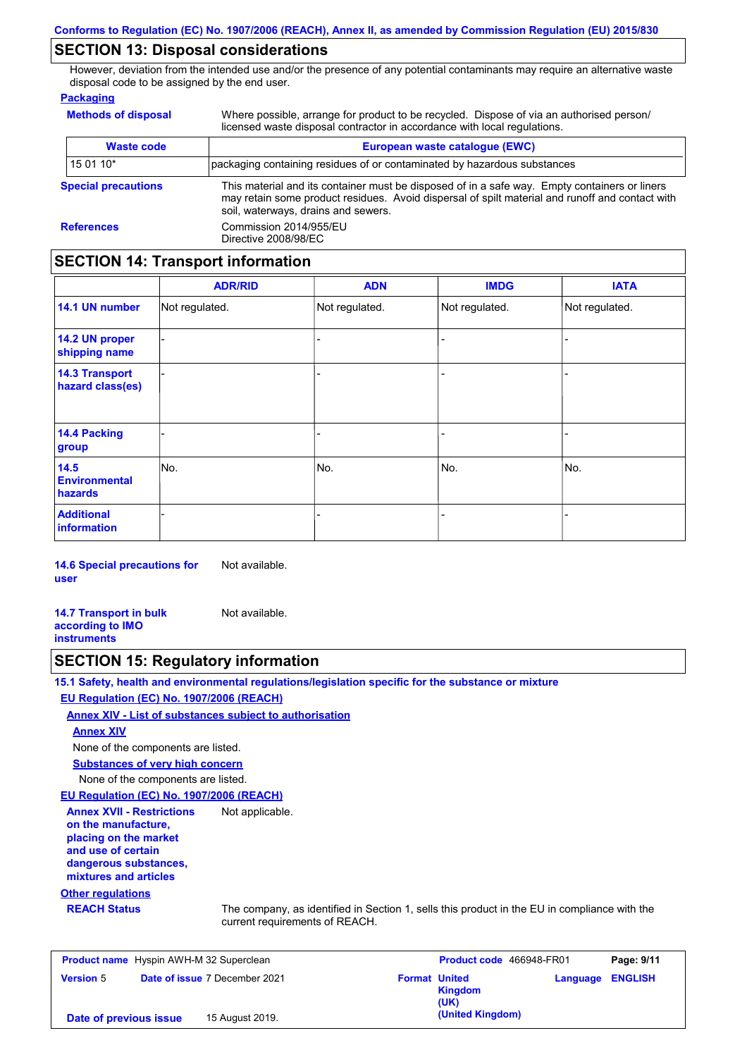### **SECTION 13: Disposal considerations**

However, deviation from the intended use and/or the presence of any potential contaminants may require an alternative waste disposal code to be assigned by the end user.

#### **Packaging**

**Methods of disposal**

Where possible, arrange for product to be recycled. Dispose of via an authorised person/ licensed waste disposal contractor in accordance with local regulations.

| <b>Waste code</b>                                                                                                                                                                                                                                                     | European waste catalogue (EWC) |  |  |  |
|-----------------------------------------------------------------------------------------------------------------------------------------------------------------------------------------------------------------------------------------------------------------------|--------------------------------|--|--|--|
| 15 01 10*<br>packaging containing residues of or contaminated by hazardous substances                                                                                                                                                                                 |                                |  |  |  |
| This material and its container must be disposed of in a safe way. Empty containers or liners<br><b>Special precautions</b><br>may retain some product residues. Avoid dispersal of spilt material and runoff and contact with<br>soil, waterways, drains and sewers. |                                |  |  |  |
| Commission 2014/955/EU<br><b>References</b><br>Directive 2008/98/EC                                                                                                                                                                                                   |                                |  |  |  |

### **SECTION 14: Transport information**

|                                           | <b>ADR/RID</b> | <b>ADN</b>     | <b>IMDG</b>    | <b>IATA</b>    |
|-------------------------------------------|----------------|----------------|----------------|----------------|
| 14.1 UN number                            | Not regulated. | Not regulated. | Not regulated. | Not regulated. |
| 14.2 UN proper<br>shipping name           |                |                | $\blacksquare$ |                |
| <b>14.3 Transport</b><br>hazard class(es) |                |                | -              |                |
| 14.4 Packing<br>group                     |                |                | -              |                |
| 14.5<br><b>Environmental</b><br>hazards   | No.            | No.            | No.            | No.            |
| <b>Additional</b><br><b>information</b>   |                |                |                |                |

**14.6 Special precautions for user** Not available.

**14.7 Transport in bulk according to IMO instruments** Not available.

### **SECTION 15: Regulatory information**

**15.1 Safety, health and environmental regulations/legislation specific for the substance or mixture EU Regulation (EC) No. 1907/2006 (REACH)**

**Annex XIV - List of substances subject to authorisation**

#### **Annex XIV**

None of the components are listed.

**Substances of very high concern**

None of the components are listed.

#### **EU Regulation (EC) No. 1907/2006 (REACH)**

**Annex XVII - Restrictions on the manufacture, placing on the market and use of certain dangerous substances, mixtures and articles** Not applicable.

#### **Other regulations**

**REACH Status** The company, as identified in Section 1, sells this product in the EU in compliance with the current requirements of REACH.

| <b>Product name</b> Hyspin AWH-M 32 Superclean |  | <b>Product code</b> 466948-FR01      |                      | Page: 9/11             |                         |  |
|------------------------------------------------|--|--------------------------------------|----------------------|------------------------|-------------------------|--|
| <b>Version 5</b>                               |  | <b>Date of issue 7 December 2021</b> | <b>Format United</b> | <b>Kingdom</b><br>(UK) | <b>Language ENGLISH</b> |  |
| Date of previous issue                         |  | 15 August 2019.                      |                      | (United Kingdom)       |                         |  |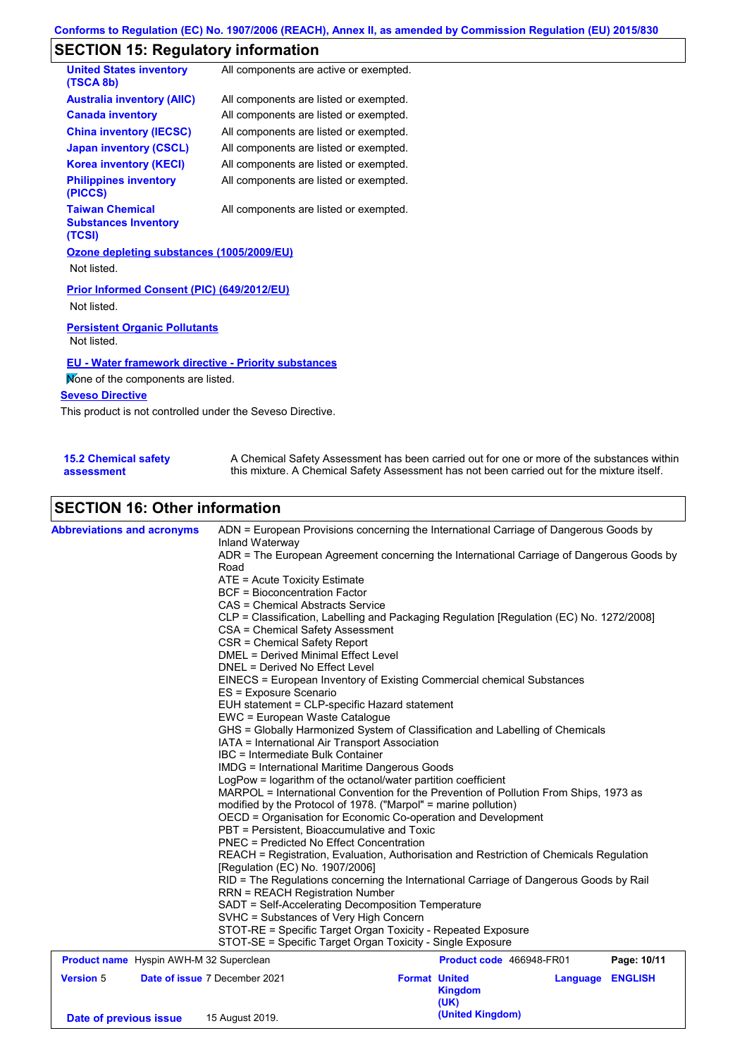# **SECTION 15: Regulatory information**

| <b>United States inventory</b><br>(TSCA 8b)                     | All components are active or exempted. |
|-----------------------------------------------------------------|----------------------------------------|
| <b>Australia inventory (AIIC)</b>                               | All components are listed or exempted. |
| <b>Canada inventory</b>                                         | All components are listed or exempted. |
| <b>China inventory (IECSC)</b>                                  | All components are listed or exempted. |
| <b>Japan inventory (CSCL)</b>                                   | All components are listed or exempted. |
| <b>Korea inventory (KECI)</b>                                   | All components are listed or exempted. |
| <b>Philippines inventory</b><br>(PICCS)                         | All components are listed or exempted. |
| <b>Taiwan Chemical</b><br><b>Substances Inventory</b><br>(TCSI) | All components are listed or exempted. |
| Ozone depleting substances (1005/2009/EU)<br>Not listed.        |                                        |
| Prior Informed Consent (PIC) (649/2012/EU)<br>Not listed.       |                                        |
| <b>Persistent Organic Pollutants</b><br>Not listed.             |                                        |

### **EU - Water framework directive - Priority substances**

None of the components are listed.

### **Seveso Directive**

This product is not controlled under the Seveso Directive.

| <b>15.2 Chemical safety</b> | A Chemical Safety Assessment has been carried out for one or more of the substances within  |
|-----------------------------|---------------------------------------------------------------------------------------------|
| assessment                  | this mixture. A Chemical Safety Assessment has not been carried out for the mixture itself. |

# **SECTION 16: Other information**

| <b>Abbreviations and acronyms</b>              | ADN = European Provisions concerning the International Carriage of Dangerous Goods by<br>Inland Waterway<br>ADR = The European Agreement concerning the International Carriage of Dangerous Goods by<br>Road                                                                                  |                                                    |          |                |  |  |  |                                |
|------------------------------------------------|-----------------------------------------------------------------------------------------------------------------------------------------------------------------------------------------------------------------------------------------------------------------------------------------------|----------------------------------------------------|----------|----------------|--|--|--|--------------------------------|
|                                                | ATE = Acute Toxicity Estimate                                                                                                                                                                                                                                                                 |                                                    |          |                |  |  |  |                                |
|                                                | <b>BCF</b> = Bioconcentration Factor                                                                                                                                                                                                                                                          |                                                    |          |                |  |  |  |                                |
|                                                | CAS = Chemical Abstracts Service                                                                                                                                                                                                                                                              |                                                    |          |                |  |  |  |                                |
|                                                | CLP = Classification, Labelling and Packaging Regulation [Regulation (EC) No. 1272/2008]<br>CSA = Chemical Safety Assessment                                                                                                                                                                  |                                                    |          |                |  |  |  |                                |
|                                                | CSR = Chemical Safety Report                                                                                                                                                                                                                                                                  |                                                    |          |                |  |  |  |                                |
|                                                | <b>DMEL = Derived Minimal Effect Level</b>                                                                                                                                                                                                                                                    |                                                    |          |                |  |  |  |                                |
|                                                | DNEL = Derived No Effect Level                                                                                                                                                                                                                                                                |                                                    |          |                |  |  |  |                                |
|                                                | EINECS = European Inventory of Existing Commercial chemical Substances<br>ES = Exposure Scenario<br>EUH statement = CLP-specific Hazard statement                                                                                                                                             |                                                    |          |                |  |  |  |                                |
|                                                |                                                                                                                                                                                                                                                                                               |                                                    |          |                |  |  |  |                                |
|                                                |                                                                                                                                                                                                                                                                                               |                                                    |          |                |  |  |  | EWC = European Waste Catalogue |
|                                                | GHS = Globally Harmonized System of Classification and Labelling of Chemicals<br>IATA = International Air Transport Association<br>IBC = Intermediate Bulk Container<br><b>IMDG = International Maritime Dangerous Goods</b><br>LogPow = logarithm of the octanol/water partition coefficient |                                                    |          |                |  |  |  |                                |
|                                                |                                                                                                                                                                                                                                                                                               |                                                    |          |                |  |  |  |                                |
|                                                |                                                                                                                                                                                                                                                                                               |                                                    |          |                |  |  |  |                                |
|                                                |                                                                                                                                                                                                                                                                                               |                                                    |          |                |  |  |  |                                |
|                                                | MARPOL = International Convention for the Prevention of Pollution From Ships, 1973 as                                                                                                                                                                                                         |                                                    |          |                |  |  |  |                                |
|                                                | modified by the Protocol of 1978. ("Marpol" = marine pollution)                                                                                                                                                                                                                               |                                                    |          |                |  |  |  |                                |
|                                                | OECD = Organisation for Economic Co-operation and Development                                                                                                                                                                                                                                 |                                                    |          |                |  |  |  |                                |
|                                                | PBT = Persistent, Bioaccumulative and Toxic                                                                                                                                                                                                                                                   |                                                    |          |                |  |  |  |                                |
|                                                | <b>PNEC = Predicted No Effect Concentration</b>                                                                                                                                                                                                                                               |                                                    |          |                |  |  |  |                                |
|                                                | REACH = Registration, Evaluation, Authorisation and Restriction of Chemicals Regulation                                                                                                                                                                                                       |                                                    |          |                |  |  |  |                                |
|                                                | [Regulation (EC) No. 1907/2006]                                                                                                                                                                                                                                                               |                                                    |          |                |  |  |  |                                |
|                                                | RID = The Regulations concerning the International Carriage of Dangerous Goods by Rail                                                                                                                                                                                                        |                                                    |          |                |  |  |  |                                |
|                                                |                                                                                                                                                                                                                                                                                               | <b>RRN = REACH Registration Number</b>             |          |                |  |  |  |                                |
|                                                |                                                                                                                                                                                                                                                                                               | SADT = Self-Accelerating Decomposition Temperature |          |                |  |  |  |                                |
|                                                | SVHC = Substances of Very High Concern<br>STOT-RE = Specific Target Organ Toxicity - Repeated Exposure                                                                                                                                                                                        |                                                    |          |                |  |  |  |                                |
|                                                |                                                                                                                                                                                                                                                                                               |                                                    |          |                |  |  |  |                                |
|                                                | STOT-SE = Specific Target Organ Toxicity - Single Exposure                                                                                                                                                                                                                                    |                                                    |          |                |  |  |  |                                |
| <b>Product name</b> Hyspin AWH-M 32 Superclean |                                                                                                                                                                                                                                                                                               | Product code 466948-FR01                           |          | Page: 10/11    |  |  |  |                                |
| <b>Version 5</b>                               | Date of issue 7 December 2021                                                                                                                                                                                                                                                                 | <b>Format United</b><br><b>Kingdom</b><br>(UK)     | Language | <b>ENGLISH</b> |  |  |  |                                |
| Date of previous issue                         | 15 August 2019.                                                                                                                                                                                                                                                                               | (United Kingdom)                                   |          |                |  |  |  |                                |